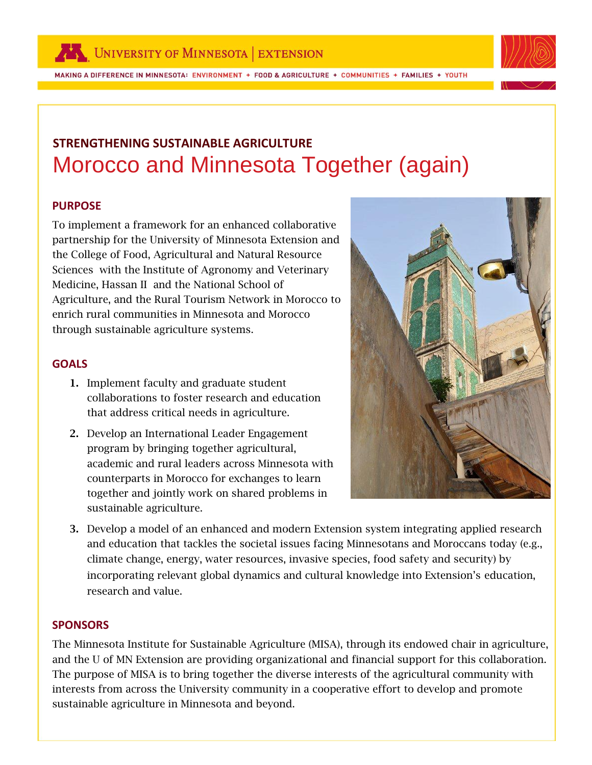

MAKING A DIFFERENCE IN MINNESOTA: ENVIRONMENT + FOOD & AGRICULTURE + COMMUNITIES + FAMILIES + YOUTH



# **STRENGTHENING SUSTAINABLE AGRICULTURE**  Morocco and Minnesota Together (again)

## **PURPOSE**

To implement a framework for an enhanced collaborative partnership for the University of Minnesota Extension and the College of Food, Agricultural and Natural Resource Sciences with the Institute of Agronomy and Veterinary Medicine, Hassan II and the National School of Agriculture, and the Rural Tourism Network in Morocco to enrich rural communities in Minnesota and Morocco through sustainable agriculture systems.

## **GOALS**

- **1.** Implement faculty and graduate student collaborations to foster research and education that address critical needs in agriculture.
- **2.** Develop an International Leader Engagement program by bringing together agricultural, academic and rural leaders across Minnesota with counterparts in Morocco for exchanges to learn together and jointly work on shared problems in sustainable agriculture.



**3.** Develop a model of an enhanced and modern Extension system integrating applied research and education that tackles the societal issues facing Minnesotans and Moroccans today (e.g., climate change, energy, water resources, invasive species, food safety and security) by incorporating relevant global dynamics and cultural knowledge into Extension's education, research and value.

#### **SPONSORS**

sustainable agriculture in Minnesota and beyond. The Minnesota Institute for Sustainable Agriculture (MISA), through its endowed chair in agriculture, and the U of MN Extension are providing organizational and financial support for this collaboration. The purpose of MISA is to bring together the diverse interests of the agricultural community with interests from across the University community in a cooperative effort to develop and promote